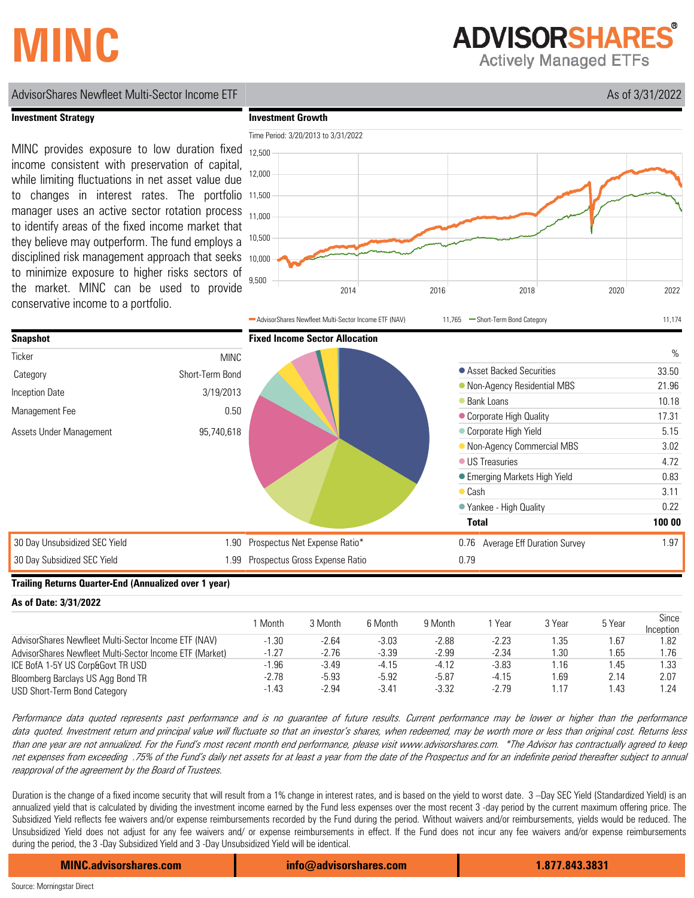## **MINC**

**ADVISORSHARES** 

**Actively Managed ETFs** 

#### **Investment Growth** Time Period: 3/20/2013 to 3/31/2022 2014 2016 2018 2020 2022 9,500 10,000 10,500 11,000 11,500 12,000 12,500 AdvisorShares Newfleet Multi-Sector Income ETF (NAV) 11,765 - Short-Term Bond Category 11,174 **Investment Strategy** MINC provides exposure to low duration fixed income consistent with preservation of capital, while limiting fluctuations in net asset value due to changes in interest rates. The portfolio manager uses an active sector rotation process to identify areas of the fixed income market that they believe may outperform. The fund employs a disciplined risk management approach that seeks to minimize exposure to higher risks sectors of the market. MINC can be used to provide conservative income to a portfolio. 30 Day Unsubsidized SEC Yield 30 Day Subsidized SEC Yield 1.90 1.99 Prospectus Gross Expense Ratio **Snapshot** MINC Short-Term Bond 3/19/2013 0.50 **Ticker** Category Inception Date Management Fee Assets Under Management 95,740,618 **Fixed Income Sector Allocation**  $\frac{0}{0}$ Asset Backed Securities 33.50 • Non-Agency Residential MBS 21.96 ● Bank Loans 10.18 Corporate High Quality 17.31 Corporate High Yield 5.15 • Non-Agency Commercial MBS 3.02 ● US Treasuries 4.72 ● Emerging Markets High Yield 0.83 Cash 3.11 Yankee - High Quality 0.22 **Total 100 00** Prospectus Net Expense Ratio\* 0.76 Average Eff Duration Survey 1.97 0.79

AdvisorShares Newfleet Multi-Sector Income ETF As of 3/31/2022

#### **Trailing Returns Quarter-End (Annualized over 1 year)**

| As of Date: 3/31/2022 |  |  |  |  |  |
|-----------------------|--|--|--|--|--|
|-----------------------|--|--|--|--|--|

|                                                         | Month   | 3 Month | 6 Month | 9 Month | Year    | 3 Year | 5 Year | Since<br>Inception |
|---------------------------------------------------------|---------|---------|---------|---------|---------|--------|--------|--------------------|
| AdvisorShares Newfleet Multi-Sector Income ETF (NAV)    | -1.30   | $-2.64$ | $-3.03$ | $-2.88$ | $-2.23$ | .35    | 1.67   | 1.82               |
| AdvisorShares Newfleet Multi-Sector Income ETF (Market) | $-1.27$ | $-2.76$ | $-3.39$ | $-2.99$ | $-2.34$ | .30    | 1.65   | 1.76               |
| ICE BofA 1-5Y US Corp&Govt TR USD                       | -1.96   | $-3.49$ | $-4.15$ | -4.12   | $-3.83$ | .16    | 1.45   | 1.33               |
| Bloomberg Barclays US Agg Bond TR                       | $-2.78$ | $-5.93$ | $-5.92$ | $-5.87$ | $-4.15$ | .69    | 2.14   | 2.07               |
| USD Short-Term Bond Category                            | $-1.43$ | $-2.94$ | $-3.41$ | $-3.32$ | $-2.79$ | .17    | 1.43   | 1.24               |

Performance data quoted represents past performance and is no guarantee of future results. Current performance may be lower or higher than the performance data quoted. Investment return and principal value will fluctuate so that an investor's shares, when redeemed, may be worth more or less than original cost. Returns less than one year are not annualized. For the Fund's most recent month end performance, please visit www.advisorshares.com. \*The Advisor has contractually agreed to keep net expenses from exceeding .75% of the Fund's daily net assets for at least a year from the date of the Prospectus and for an indefinite period thereafter subject to annual reapproval of the agreement by the Board of Trustees.

Duration is the change of a fixed income security that will result from a 1% change in interest rates, and is based on the yield to worst date. 3 –Day SEC Yield (Standardized Yield) is an annualized yield that is calculated by dividing the investment income earned by the Fund less expenses over the most recent 3 -day period by the current maximum offering price. The Subsidized Yield reflects fee waivers and/or expense reimbursements recorded by the Fund during the period. Without waivers and/or reimbursements, yields would be reduced. The Unsubsidized Yield does not adjust for any fee waivers and/ or expense reimbursements in effect. If the Fund does not incur any fee waivers and/or expense reimbursements during the period, the 3 -Day Subsidized Yield and 3 -Day Unsubsidized Yield will be identical.

**MINC.advisorshares.com info@advisorshares.com 1.877.843.3831**